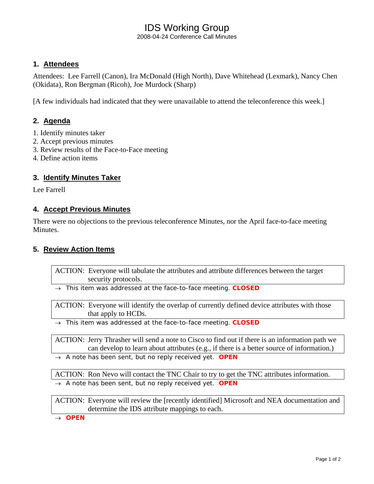# IDS Working Group

2008-04-24 Conference Call Minutes

## **1. Attendees**

Attendees: Lee Farrell (Canon), Ira McDonald (High North), Dave Whitehead (Lexmark), Nancy Chen (Okidata), Ron Bergman (Ricoh), Joe Murdock (Sharp)

[A few individuals had indicated that they were unavailable to attend the teleconference this week.]

## **2. Agenda**

- 1. Identify minutes taker
- 2. Accept previous minutes
- 3. Review results of the Face-to-Face meeting
- 4. Define action items

### **3. Identify Minutes Taker**

Lee Farrell

#### **4. Accept Previous Minutes**

There were no objections to the previous teleconference Minutes, nor the April face-to-face meeting Minutes.

#### **5. Review Action Items**

ACTION: Everyone will tabulate the attributes and attribute differences between the target security protocols.

→ *This item was addressed at the face-to-face meeting. CLOSED* 

ACTION: Everyone will identify the overlap of currently defined device attributes with those that apply to HCDs.

→ *This item was addressed at the face-to-face meeting. CLOSED* 

ACTION: Jerry Thrasher will send a note to Cisco to find out if there is an information path we can develop to learn about attributes (e.g., if there is a better source of information.)

→ *A note has been sent, but no reply received yet. OPEN* 

ACTION: Ron Nevo will contact the TNC Chair to try to get the TNC attributes information. → *A note has been sent, but no reply received yet. OPEN* 

ACTION: Everyone will review the [recently identified] Microsoft and NEA documentation and determine the IDS attribute mappings to each.

→ *OPEN*